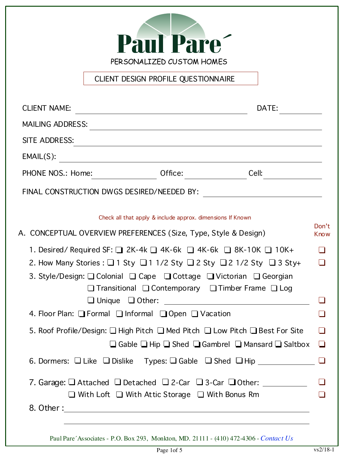

CLIENT DESIGN PROFILE QUESTIONNAIRE

| <b>CLIENT NAME:</b><br>DATE:                                                                                                                                                                                                                                                                                                                 |                      |
|----------------------------------------------------------------------------------------------------------------------------------------------------------------------------------------------------------------------------------------------------------------------------------------------------------------------------------------------|----------------------|
| <b>MAILING ADDRESS:</b><br><u> 1980 - Jan Samuel Barbara, martin da shekara 1980 - An tsara 1980 - An tsara 1980 - An tsara 1980 - An tsara</u>                                                                                                                                                                                              |                      |
| SITE ADDRESS:                                                                                                                                                                                                                                                                                                                                |                      |
| EMAIL(S):<br><u> 1980 - Andrea Station Barbara, amerikan personal (h. 1980).</u>                                                                                                                                                                                                                                                             |                      |
| Office:<br>Cell:<br>PHONE NOS.: Home:                                                                                                                                                                                                                                                                                                        |                      |
| FINAL CONSTRUCTION DWGS DESIRED/NEEDED BY:                                                                                                                                                                                                                                                                                                   |                      |
| Check all that apply & include approx. dimensions If Known                                                                                                                                                                                                                                                                                   |                      |
| A. CONCEPTUAL OVERVIEW PREFERENCES (Size, Type, Style & Design)                                                                                                                                                                                                                                                                              | Don't<br><b>Know</b> |
| 1. Desired/Required SF: $\Box$ 2K-4k $\Box$ 4K-6k $\Box$ 4K-6k $\Box$ 8K-10K $\Box$ 10K+<br>2. How Many Stories : $\Box$ 1 Sty $\Box$ 1 1/2 Sty $\Box$ 2 Sty $\Box$ 2 1/2 Sty $\Box$ 3 Sty+<br>3. Style/Design: Q Colonial Q Cape Q Cottage Q Victorian Q Georgian<br>$\Box$ Transitional $\Box$ Contemporary $\Box$ Timber Frame $\Box$ Log | H                    |
| 4. Floor Plan: Formal Informal I Open I Vacation                                                                                                                                                                                                                                                                                             |                      |
| 5. Roof Profile/Design: □ High Pitch □ Med Pitch □ Low Pitch □ Best For Site<br>$\Box$ Gable $\Box$ Hip $\Box$ Shed $\Box$ Gambrel $\Box$ Mansard $\Box$ Saltbox                                                                                                                                                                             | $\Box$               |
| $\Box$ Dislike $\;\;\;$ Types: $\Box$ Gable $\;\;\Box$ Shed $\;\;\Box$ Hip __________________<br>$\Box$ Like $\Box$<br>6. Dormers:                                                                                                                                                                                                           |                      |
| 7. Garage: $\Box$ Attached $\Box$ Detached $\Box$ 2-Car $\Box$ 3-Car $\Box$ Other: ________<br>$\Box$ With Loft $\Box$ With Attic Storage $\Box$ With Bonus Rm                                                                                                                                                                               |                      |

Paul Pare´Associates - P.O. Box 293, Monkton, MD. 21111 - (410) 472-4306 - *Contact Us*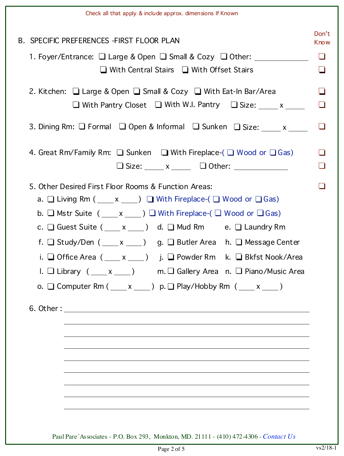|                                                                                           | Check all that apply & include approx. dimensions If Known                                                                                                                                                                                                                                                                                                                                                                                                                                                                                                                                                                                                                            |  |  |  |  |  |  |  |
|-------------------------------------------------------------------------------------------|---------------------------------------------------------------------------------------------------------------------------------------------------------------------------------------------------------------------------------------------------------------------------------------------------------------------------------------------------------------------------------------------------------------------------------------------------------------------------------------------------------------------------------------------------------------------------------------------------------------------------------------------------------------------------------------|--|--|--|--|--|--|--|
|                                                                                           | <b>B. SPECIFIC PREFERENCES - FIRST FLOOR PLAN</b>                                                                                                                                                                                                                                                                                                                                                                                                                                                                                                                                                                                                                                     |  |  |  |  |  |  |  |
|                                                                                           | 1. Foyer/Entrance: $\Box$ Large & Open $\Box$ Small & Cozy $\Box$ Other:                                                                                                                                                                                                                                                                                                                                                                                                                                                                                                                                                                                                              |  |  |  |  |  |  |  |
|                                                                                           | $\Box$ With Central Stairs $\Box$ With Offset Stairs<br>2. Kitchen: $\Box$ Large & Open $\Box$ Small & Cozy $\Box$ With Eat-In Bar/Area                                                                                                                                                                                                                                                                                                                                                                                                                                                                                                                                               |  |  |  |  |  |  |  |
|                                                                                           |                                                                                                                                                                                                                                                                                                                                                                                                                                                                                                                                                                                                                                                                                       |  |  |  |  |  |  |  |
|                                                                                           | $\Box$ With Pantry Closet $\Box$ With W.I. Pantry $\Box$ Size: $\Box$ x $\Box$                                                                                                                                                                                                                                                                                                                                                                                                                                                                                                                                                                                                        |  |  |  |  |  |  |  |
| 3. Dining Rm: $\Box$ Formal $\Box$ Open & Informal $\Box$ Sunken $\Box$ Size: ____ x ____ |                                                                                                                                                                                                                                                                                                                                                                                                                                                                                                                                                                                                                                                                                       |  |  |  |  |  |  |  |
|                                                                                           | 4. Great Rm/Family Rm: $\Box$ Sunken $\Box$ With Fireplace-( $\Box$ Wood or $\Box$ Gas)<br>$\Box$ Size: _____ x _____ $\Box$ Other: ____________                                                                                                                                                                                                                                                                                                                                                                                                                                                                                                                                      |  |  |  |  |  |  |  |
|                                                                                           | 5. Other Desired First Floor Rooms & Function Areas:<br>a. $\Box$ Living Rm ( $\_\_\ x\_\_\_$ ) $\Box$ With Fireplace-( $\Box$ Wood or $\Box$ Gas)<br>b. $\Box$ Mstr Suite ( ____ x ____ ) $\Box$ With Fireplace-( $\Box$ Wood or $\Box$ Gas)<br>c. $\Box$ Guest Suite ( ____ x ____) d. $\Box$ Mud Rm e. $\Box$ Laundry Rm<br>f. $\Box$ Study/Den ( $\_\_\ x\_\_\_$ ) g. $\Box$ Butler Area h. $\Box$ Message Center<br>i. $\Box$ Office Area ( ___ x ___ ) j. $\Box$ Powder Rm k. $\Box$ Bkfst Nook/Area<br>m. $\Box$ Gallery Area n. $\Box$ Piano/Music Area<br>I. $\Box$ Library (____ x ____)<br>o. $\Box$ Computer Rm ( $\_\ x\_\_\)$ p. $\Box$ Play/Hobby Rm ( $\_\ x\_\_\)$ ) |  |  |  |  |  |  |  |

Paul Pare´Associates - P.O. Box 293, Monkton, MD. 21111 - (410) 472-4306 - *Contact Us*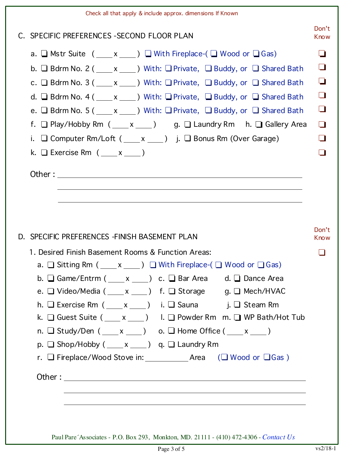| Check all that apply & include approx. dimensions If Known                                                                                                                                                                                                                                                                                                                                                                                                                                                                                                                                                                                                                                                                                                                                      |                                                    |
|-------------------------------------------------------------------------------------------------------------------------------------------------------------------------------------------------------------------------------------------------------------------------------------------------------------------------------------------------------------------------------------------------------------------------------------------------------------------------------------------------------------------------------------------------------------------------------------------------------------------------------------------------------------------------------------------------------------------------------------------------------------------------------------------------|----------------------------------------------------|
| C. SPECIFIC PREFERENCES - SECOND FLOOR PLAN                                                                                                                                                                                                                                                                                                                                                                                                                                                                                                                                                                                                                                                                                                                                                     | Don't<br>Know                                      |
| a. $\Box$ Mstr Suite $($ ___ x ___ $)$ $\Box$ With Fireplace- $($ $\Box$ Wood or $\Box$ Gas)<br>b. $\Box$ Bdrm No. 2 ( $\_\_\ x\_\_\_$ ) With: $\Box$ Private, $\Box$ Buddy, or $\Box$ Shared Bath<br>c. $\Box$ Bdrm No. 3 ( $\Box$ x $\Box$ ) With: $\Box$ Private, $\Box$ Buddy, or $\Box$ Shared Bath<br>d. Bdrm No. 4 ( $\_\_\ x\_\_\_$ ) With: Private, Buddy, or Shared Bath<br>e. $\Box$ Bdrm No. 5 ( $\underline{\hspace{1cm}} x \underline{\hspace{1cm}}$ ) With: $\Box$ Private, $\Box$ Buddy, or $\Box$ Shared Bath<br>f. $\Box$ Play/Hobby Rm ( $\_\_\ x\_\_\$ ) g. $\Box$ Laundry Rm h. $\Box$ Gallery Area<br>$\Box$ Computer Rm/Loft ( $\_\_\ x\_\_\)$ ) j. $\Box$ Bonus Rm (Over Garage)<br>i.<br>k. $\Box$ Exercise Rm $(\underline{\hspace{1cm}} x \underline{\hspace{1cm}})$ | $\Box$<br>$\Box$<br>$\Box$<br>l 1<br>l 1<br>$\Box$ |
| D. SPECIFIC PREFERENCES - FINISH BASEMENT PLAN<br>1. Desired Finish Basement Rooms & Function Areas:<br>a. $\Box$ Sitting Rm ( $\_\_\ x\_\_\_\$ ) $\Box$ With Fireplace-( $\Box$ Wood or $\Box$ Gas)<br>b. Game/Entrm $($ x _ ) c. G Bar Area d. G Dance Area<br>e. $\Box$ Video/Media ( ____ x ____) f. $\Box$ Storage g. $\Box$ Mech/HVAC<br>h. $\Box$ Exercise Rm ( $\Box x$ ) i. $\Box$ Sauna j. $\Box$ Steam Rm<br>k. $\Box$ Guest Suite ( $\underline{\hspace{1cm}} x \underline{\hspace{1cm}}$ ) I. $\Box$ Powder Rm m. $\Box$ WP Bath/Hot Tub<br>n. $\Box$ Study/Den ( $\_\ x\_\_$ ) o. $\Box$ Home Office ( $\_\ x\_\_$ )<br>$p. \Box$ Shop/Hobby $($ $x$ $)$ $q. \Box$ Laundry Rm                                                                                                     | Don't<br><b>Know</b>                               |
|                                                                                                                                                                                                                                                                                                                                                                                                                                                                                                                                                                                                                                                                                                                                                                                                 |                                                    |

Paul Pare´Associates - P.O. Box 293, Monkton, MD. 21111 - (410) 472-4306 - *Contact Us*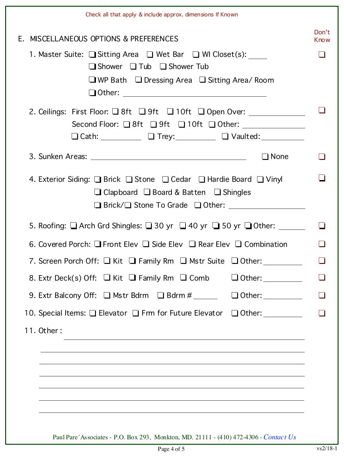|                                                                                          | Check all that apply & include approx. dimensions If Known                                                                                                                                                                                                                                                                                                |                      |  |  |  |  |  |
|------------------------------------------------------------------------------------------|-----------------------------------------------------------------------------------------------------------------------------------------------------------------------------------------------------------------------------------------------------------------------------------------------------------------------------------------------------------|----------------------|--|--|--|--|--|
|                                                                                          | E. MISCELLANEOUS OPTIONS & PREFERENCES                                                                                                                                                                                                                                                                                                                    | Don't<br><b>Know</b> |  |  |  |  |  |
|                                                                                          | 1. Master Suite: Sitting Area $\Box$ Wet Bar $\Box$ WI Closet(s):<br>$\Box$ Shower $\Box$ Tub $\Box$ Shower Tub<br>$\Box$ WP Bath $\Box$ Dressing Area $\Box$ Sitting Area/ Room                                                                                                                                                                          |                      |  |  |  |  |  |
|                                                                                          | 2. Ceilings: First Floor: $\Box$ 8ft $\Box$ 9ft $\Box$ 10ft $\Box$ Open Over: ___________<br>Second Floor: $\Box$ 8ft $\Box$ 9ft $\Box$ 10ft $\Box$ Other:<br>$\Box$ Cath: $\Box$ $\Box$ Trey: $\Box$ Vaulted: $\Box$                                                                                                                                     |                      |  |  |  |  |  |
|                                                                                          | $\Box$ None                                                                                                                                                                                                                                                                                                                                               |                      |  |  |  |  |  |
|                                                                                          | 4. Exterior Siding: <b>Brick Brition Brition Brition Brition</b> Brition Brition Brition Brition Brition Brition Brition Brition Brition Brition Brition Brition Brition Brition Brition Brition Brition Brition Brition Brition Br<br>$\Box$ Clapboard $\Box$ Board & Batten $\Box$ Shingles<br>$\Box$ Brick/ $\Box$ Stone To Grade $\Box$ Other: $\Box$ |                      |  |  |  |  |  |
|                                                                                          | 5. Roofing: $\Box$ Arch Grd Shingles: $\Box$ 30 yr $\Box$ 40 yr $\Box$ 50 yr $\Box$ Other: ______                                                                                                                                                                                                                                                         |                      |  |  |  |  |  |
| 6. Covered Porch: $\Box$ Front Elev $\Box$ Side Elev $\Box$ Rear Elev $\Box$ Combination |                                                                                                                                                                                                                                                                                                                                                           |                      |  |  |  |  |  |
|                                                                                          | 7. Screen Porch Off: $\Box$ Kit $\Box$ Family Rm $\Box$ Mstr Suite $\Box$ Other: ________                                                                                                                                                                                                                                                                 |                      |  |  |  |  |  |
|                                                                                          | 8. Extr Deck(s) Off: $\Box$ Kit $\Box$ Family Rm $\Box$ Comb                                                                                                                                                                                                                                                                                              |                      |  |  |  |  |  |
|                                                                                          | 9. Extr Balcony Off: $\Box$ Mstr Bdrm $\Box$ Bdrm #                                                                                                                                                                                                                                                                                                       |                      |  |  |  |  |  |
|                                                                                          | 10. Special Items: □ Elevator □ Frm for Future Elevator □ Other: _________                                                                                                                                                                                                                                                                                |                      |  |  |  |  |  |
|                                                                                          | 11. Other:<br><u> 1989 - Johann Stoff, amerikansk politiker (d. 1989)</u>                                                                                                                                                                                                                                                                                 |                      |  |  |  |  |  |

Page 4 of 5